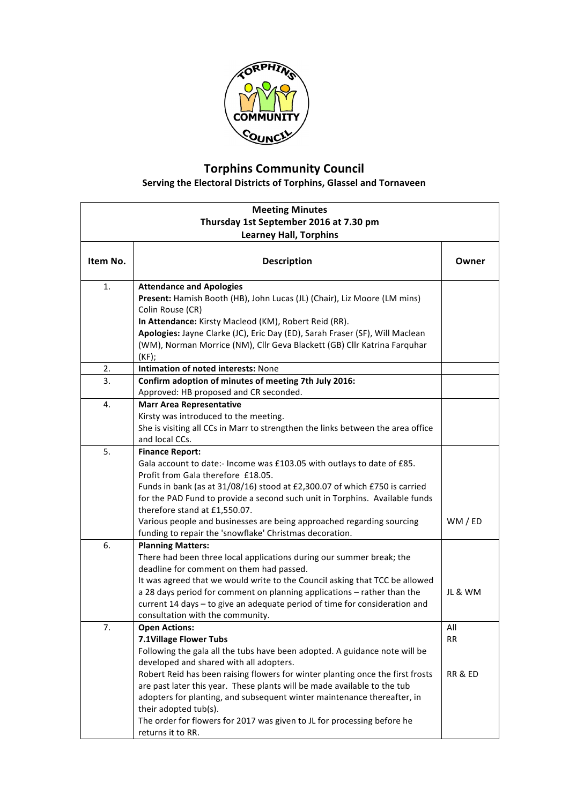

## **Torphins Community Council**

**Serving the Electoral Districts of Torphins, Glassel and Tornaveen** 

| <b>Meeting Minutes</b><br>Thursday 1st September 2016 at 7.30 pm |                                                                                                                                                                                                                                                                                                                                                                                                                                                                                                                                           |                             |  |  |
|------------------------------------------------------------------|-------------------------------------------------------------------------------------------------------------------------------------------------------------------------------------------------------------------------------------------------------------------------------------------------------------------------------------------------------------------------------------------------------------------------------------------------------------------------------------------------------------------------------------------|-----------------------------|--|--|
|                                                                  |                                                                                                                                                                                                                                                                                                                                                                                                                                                                                                                                           |                             |  |  |
| Item No.                                                         | <b>Description</b>                                                                                                                                                                                                                                                                                                                                                                                                                                                                                                                        | Owner                       |  |  |
| 1.                                                               | <b>Attendance and Apologies</b><br>Present: Hamish Booth (HB), John Lucas (JL) (Chair), Liz Moore (LM mins)<br>Colin Rouse (CR)<br>In Attendance: Kirsty Macleod (KM), Robert Reid (RR).<br>Apologies: Jayne Clarke (JC), Eric Day (ED), Sarah Fraser (SF), Will Maclean<br>(WM), Norman Morrice (NM), Cllr Geva Blackett (GB) Cllr Katrina Farquhar<br>$(KF)$ ;                                                                                                                                                                          |                             |  |  |
| 2.                                                               | Intimation of noted interests: None                                                                                                                                                                                                                                                                                                                                                                                                                                                                                                       |                             |  |  |
| 3.                                                               | Confirm adoption of minutes of meeting 7th July 2016:<br>Approved: HB proposed and CR seconded.                                                                                                                                                                                                                                                                                                                                                                                                                                           |                             |  |  |
| 4.                                                               | <b>Marr Area Representative</b><br>Kirsty was introduced to the meeting.<br>She is visiting all CCs in Marr to strengthen the links between the area office<br>and local CCs.                                                                                                                                                                                                                                                                                                                                                             |                             |  |  |
| 5.                                                               | <b>Finance Report:</b><br>Gala account to date:- Income was £103.05 with outlays to date of £85.<br>Profit from Gala therefore £18.05.<br>Funds in bank (as at 31/08/16) stood at £2,300.07 of which £750 is carried<br>for the PAD Fund to provide a second such unit in Torphins. Available funds<br>therefore stand at £1,550.07.<br>Various people and businesses are being approached regarding sourcing<br>funding to repair the 'snowflake' Christmas decoration.                                                                  | WM / ED                     |  |  |
| 6.                                                               | <b>Planning Matters:</b><br>There had been three local applications during our summer break; the<br>deadline for comment on them had passed.<br>It was agreed that we would write to the Council asking that TCC be allowed<br>a 28 days period for comment on planning applications - rather than the<br>current 14 days - to give an adequate period of time for consideration and<br>consultation with the community.                                                                                                                  | JL & WM                     |  |  |
| 7.                                                               | <b>Open Actions:</b><br>7.1Village Flower Tubs<br>Following the gala all the tubs have been adopted. A guidance note will be<br>developed and shared with all adopters.<br>Robert Reid has been raising flowers for winter planting once the first frosts<br>are past later this year. These plants will be made available to the tub<br>adopters for planting, and subsequent winter maintenance thereafter, in<br>their adopted tub(s).<br>The order for flowers for 2017 was given to JL for processing before he<br>returns it to RR. | All<br><b>RR</b><br>RR & ED |  |  |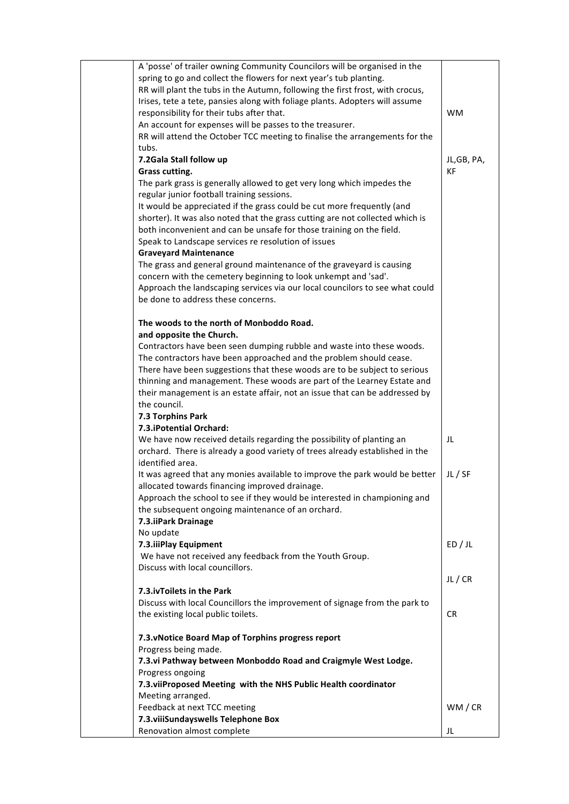| A 'posse' of trailer owning Community Councilors will be organised in the<br>spring to go and collect the flowers for next year's tub planting.<br>RR will plant the tubs in the Autumn, following the first frost, with crocus,<br>Irises, tete a tete, pansies along with foliage plants. Adopters will assume<br>responsibility for their tubs after that.<br>An account for expenses will be passes to the treasurer.<br>RR will attend the October TCC meeting to finalise the arrangements for the | <b>WM</b>   |
|----------------------------------------------------------------------------------------------------------------------------------------------------------------------------------------------------------------------------------------------------------------------------------------------------------------------------------------------------------------------------------------------------------------------------------------------------------------------------------------------------------|-------------|
| tubs.<br>7.2Gala Stall follow up                                                                                                                                                                                                                                                                                                                                                                                                                                                                         | JL, GB, PA, |
| Grass cutting.                                                                                                                                                                                                                                                                                                                                                                                                                                                                                           | <b>KF</b>   |
| The park grass is generally allowed to get very long which impedes the                                                                                                                                                                                                                                                                                                                                                                                                                                   |             |
| regular junior football training sessions.<br>It would be appreciated if the grass could be cut more frequently (and<br>shorter). It was also noted that the grass cutting are not collected which is<br>both inconvenient and can be unsafe for those training on the field.                                                                                                                                                                                                                            |             |
| Speak to Landscape services re resolution of issues                                                                                                                                                                                                                                                                                                                                                                                                                                                      |             |
| <b>Graveyard Maintenance</b>                                                                                                                                                                                                                                                                                                                                                                                                                                                                             |             |
| The grass and general ground maintenance of the graveyard is causing<br>concern with the cemetery beginning to look unkempt and 'sad'.<br>Approach the landscaping services via our local councilors to see what could<br>be done to address these concerns.                                                                                                                                                                                                                                             |             |
| The woods to the north of Monboddo Road.                                                                                                                                                                                                                                                                                                                                                                                                                                                                 |             |
| and opposite the Church.                                                                                                                                                                                                                                                                                                                                                                                                                                                                                 |             |
| Contractors have been seen dumping rubble and waste into these woods.<br>The contractors have been approached and the problem should cease.                                                                                                                                                                                                                                                                                                                                                              |             |
| There have been suggestions that these woods are to be subject to serious                                                                                                                                                                                                                                                                                                                                                                                                                                |             |
| thinning and management. These woods are part of the Learney Estate and                                                                                                                                                                                                                                                                                                                                                                                                                                  |             |
| their management is an estate affair, not an issue that can be addressed by                                                                                                                                                                                                                                                                                                                                                                                                                              |             |
| the council.<br>7.3 Torphins Park                                                                                                                                                                                                                                                                                                                                                                                                                                                                        |             |
| 7.3. iPotential Orchard:                                                                                                                                                                                                                                                                                                                                                                                                                                                                                 |             |
| We have now received details regarding the possibility of planting an                                                                                                                                                                                                                                                                                                                                                                                                                                    | JL          |
| orchard. There is already a good variety of trees already established in the                                                                                                                                                                                                                                                                                                                                                                                                                             |             |
| identified area.                                                                                                                                                                                                                                                                                                                                                                                                                                                                                         |             |
| It was agreed that any monies available to improve the park would be better<br>allocated towards financing improved drainage.<br>Approach the school to see if they would be interested in championing and                                                                                                                                                                                                                                                                                               | JL / SF     |
| the subsequent ongoing maintenance of an orchard.                                                                                                                                                                                                                                                                                                                                                                                                                                                        |             |
| 7.3.iiPark Drainage                                                                                                                                                                                                                                                                                                                                                                                                                                                                                      |             |
| No update<br>7.3.iiiPlay Equipment                                                                                                                                                                                                                                                                                                                                                                                                                                                                       | ED / JL     |
| We have not received any feedback from the Youth Group.                                                                                                                                                                                                                                                                                                                                                                                                                                                  |             |
| Discuss with local councillors.                                                                                                                                                                                                                                                                                                                                                                                                                                                                          |             |
|                                                                                                                                                                                                                                                                                                                                                                                                                                                                                                          | JL/CR       |
| 7.3. iv Toilets in the Park                                                                                                                                                                                                                                                                                                                                                                                                                                                                              |             |
| Discuss with local Councillors the improvement of signage from the park to                                                                                                                                                                                                                                                                                                                                                                                                                               |             |
| the existing local public toilets.                                                                                                                                                                                                                                                                                                                                                                                                                                                                       | CR.         |
| 7.3. vNotice Board Map of Torphins progress report                                                                                                                                                                                                                                                                                                                                                                                                                                                       |             |
| Progress being made.                                                                                                                                                                                                                                                                                                                                                                                                                                                                                     |             |
| 7.3. vi Pathway between Monboddo Road and Craigmyle West Lodge.                                                                                                                                                                                                                                                                                                                                                                                                                                          |             |
| Progress ongoing<br>7.3. viiProposed Meeting with the NHS Public Health coordinator                                                                                                                                                                                                                                                                                                                                                                                                                      |             |
| Meeting arranged.                                                                                                                                                                                                                                                                                                                                                                                                                                                                                        |             |
| Feedback at next TCC meeting                                                                                                                                                                                                                                                                                                                                                                                                                                                                             | WM / CR     |
| 7.3. viiiSundayswells Telephone Box                                                                                                                                                                                                                                                                                                                                                                                                                                                                      |             |
| Renovation almost complete                                                                                                                                                                                                                                                                                                                                                                                                                                                                               | JL          |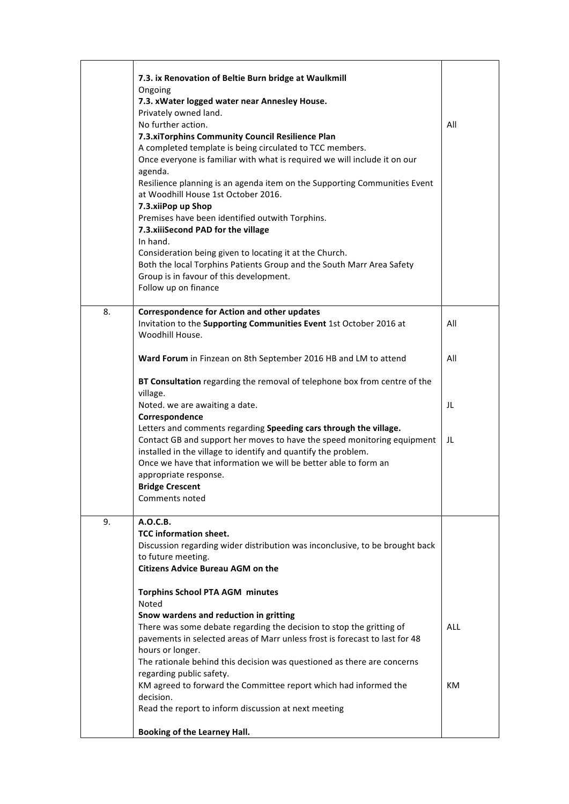|    | 7.3. ix Renovation of Beltie Burn bridge at Waulkmill<br>Ongoing<br>7.3. xWater logged water near Annesley House.<br>Privately owned land.<br>No further action.<br>7.3.xiTorphins Community Council Resilience Plan<br>A completed template is being circulated to TCC members.<br>Once everyone is familiar with what is required we will include it on our<br>agenda. | All        |
|----|--------------------------------------------------------------------------------------------------------------------------------------------------------------------------------------------------------------------------------------------------------------------------------------------------------------------------------------------------------------------------|------------|
|    | Resilience planning is an agenda item on the Supporting Communities Event<br>at Woodhill House 1st October 2016.<br>7.3.xiiPop up Shop<br>Premises have been identified outwith Torphins.<br>7.3.xiiiSecond PAD for the village                                                                                                                                          |            |
|    | In hand.<br>Consideration being given to locating it at the Church.<br>Both the local Torphins Patients Group and the South Marr Area Safety<br>Group is in favour of this development.<br>Follow up on finance                                                                                                                                                          |            |
| 8. | <b>Correspondence for Action and other updates</b><br>Invitation to the Supporting Communities Event 1st October 2016 at<br>Woodhill House.                                                                                                                                                                                                                              | All        |
|    | Ward Forum in Finzean on 8th September 2016 HB and LM to attend                                                                                                                                                                                                                                                                                                          | All        |
|    | BT Consultation regarding the removal of telephone box from centre of the<br>village.                                                                                                                                                                                                                                                                                    |            |
|    | Noted. we are awaiting a date.                                                                                                                                                                                                                                                                                                                                           | JL         |
|    | Correspondence<br>Letters and comments regarding Speeding cars through the village.<br>Contact GB and support her moves to have the speed monitoring equipment<br>installed in the village to identify and quantify the problem.<br>Once we have that information we will be better able to form an<br>appropriate response.<br><b>Bridge Crescent</b><br>Comments noted | JL         |
| 9. | A.O.C.B.<br><b>TCC information sheet.</b><br>Discussion regarding wider distribution was inconclusive, to be brought back<br>to future meeting.<br><b>Citizens Advice Bureau AGM on the</b>                                                                                                                                                                              |            |
|    | <b>Torphins School PTA AGM minutes</b><br>Noted                                                                                                                                                                                                                                                                                                                          |            |
|    | Snow wardens and reduction in gritting<br>There was some debate regarding the decision to stop the gritting of<br>pavements in selected areas of Marr unless frost is forecast to last for 48<br>hours or longer.<br>The rationale behind this decision was questioned as there are concerns                                                                             | <b>ALL</b> |
|    | regarding public safety.<br>KM agreed to forward the Committee report which had informed the<br>decision.<br>Read the report to inform discussion at next meeting                                                                                                                                                                                                        | KM         |
|    | Booking of the Learney Hall.                                                                                                                                                                                                                                                                                                                                             |            |